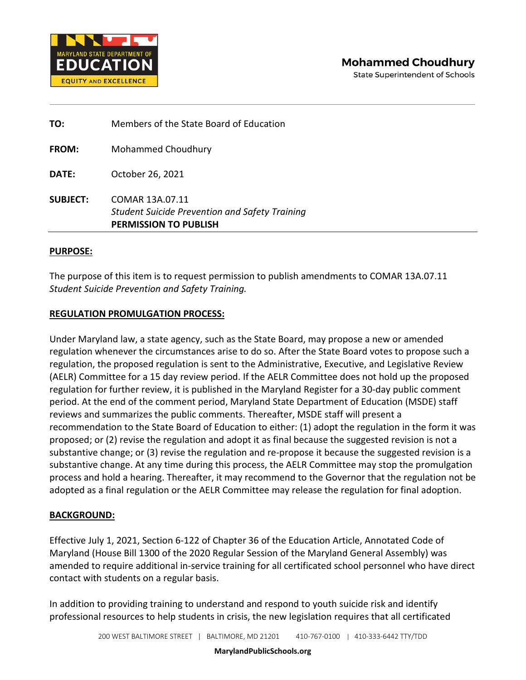

| TO:             | Members of the State Board of Education                                                                  |
|-----------------|----------------------------------------------------------------------------------------------------------|
| <b>FROM:</b>    | <b>Mohammed Choudhury</b>                                                                                |
| DATE:           | October 26, 2021                                                                                         |
| <b>SUBJECT:</b> | COMAR 13A.07.11<br><b>Student Suicide Prevention and Safety Training</b><br><b>PERMISSION TO PUBLISH</b> |

### **PURPOSE:**

The purpose of this item is to request permission to publish amendments to COMAR 13A.07.11 *Student Suicide Prevention and Safety Training.*

# **REGULATION PROMULGATION PROCESS:**

Under Maryland law, a state agency, such as the State Board, may propose a new or amended regulation whenever the circumstances arise to do so. After the State Board votes to propose such a regulation, the proposed regulation is sent to the Administrative, Executive, and Legislative Review (AELR) Committee for a 15 day review period. If the AELR Committee does not hold up the proposed regulation for further review, it is published in the Maryland Register for a 30-day public comment period. At the end of the comment period, Maryland State Department of Education (MSDE) staff reviews and summarizes the public comments. Thereafter, MSDE staff will present a recommendation to the State Board of Education to either: (1) adopt the regulation in the form it was proposed; or (2) revise the regulation and adopt it as final because the suggested revision is not a substantive change; or (3) revise the regulation and re-propose it because the suggested revision is a substantive change. At any time during this process, the AELR Committee may stop the promulgation process and hold a hearing. Thereafter, it may recommend to the Governor that the regulation not be adopted as a final regulation or the AELR Committee may release the regulation for final adoption.

### **BACKGROUND:**

Effective July 1, 2021, Section 6-122 of Chapter 36 of the Education Article, Annotated Code of Maryland (House Bill 1300 of the 2020 Regular Session of the Maryland General Assembly) was amended to require additional in-service training for all certificated school personnel who have direct contact with students on a regular basis.

In addition to providing training to understand and respond to youth suicide risk and identify professional resources to help students in crisis, the new legislation requires that all certificated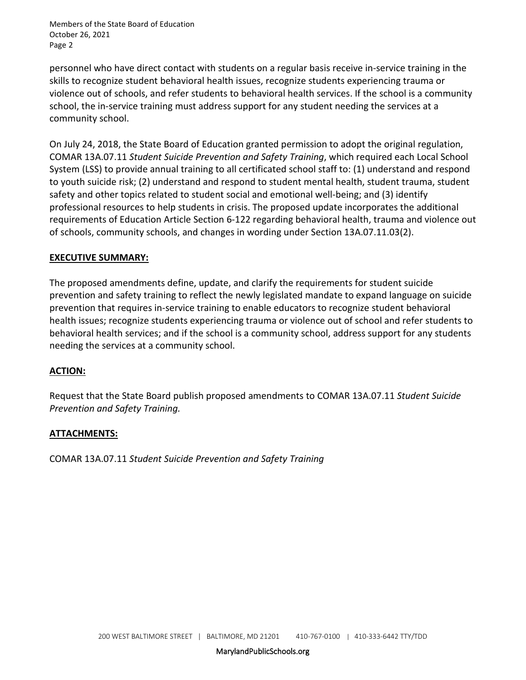Members of the State Board of Education October 26, 2021 Page 2

personnel who have direct contact with students on a regular basis receive in-service training in the skills to recognize student behavioral health issues, recognize students experiencing trauma or violence out of schools, and refer students to behavioral health services. If the school is a community school, the in-service training must address support for any student needing the services at a community school.

On July 24, 2018, the State Board of Education granted permission to adopt the original regulation, COMAR 13A.07.11 *Student Suicide Prevention and Safety Training*, which required each Local School System (LSS) to provide annual training to all certificated school staff to: (1) understand and respond to youth suicide risk; (2) understand and respond to student mental health, student trauma, student safety and other topics related to student social and emotional well-being; and (3) identify professional resources to help students in crisis. The proposed update incorporates the additional requirements of Education Article Section 6-122 regarding behavioral health, trauma and violence out of schools, community schools, and changes in wording under Section 13A.07.11.03(2).

# **EXECUTIVE SUMMARY:**

The proposed amendments define, update, and clarify the requirements for student suicide prevention and safety training to reflect the newly legislated mandate to expand language on suicide prevention that requires in-service training to enable educators to recognize student behavioral health issues; recognize students experiencing trauma or violence out of school and refer students to behavioral health services; and if the school is a community school, address support for any students needing the services at a community school.

# **ACTION:**

Request that the State Board publish proposed amendments to COMAR 13A.07.11 *Student Suicide Prevention and Safety Training.*

# **ATTACHMENTS:**

COMAR 13A.07.11 *Student Suicide Prevention and Safety Training*